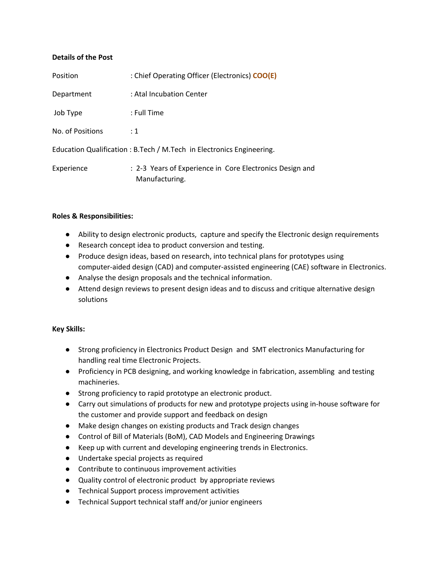### **Details of the Post**

| Position         | : Chief Operating Officer (Electronics) COO(E)                             |
|------------------|----------------------------------------------------------------------------|
| Department       | : Atal Incubation Center                                                   |
| Job Type         | : Full Time                                                                |
| No. of Positions | $\div$ 1                                                                   |
|                  | Education Qualification : B. Tech / M. Tech in Electronics Engineering.    |
| Experience       | : 2-3 Years of Experience in Core Electronics Design and<br>Manufacturing. |

### **Roles & Responsibilities:**

- Ability to design electronic products, capture and specify the Electronic design requirements
- Research concept idea to product conversion and testing.
- Produce design ideas, based on research, into technical plans for prototypes using computer-aided design (CAD) and computer-assisted engineering (CAE) software in Electronics.
- Analyse the design proposals and the technical information.
- Attend design reviews to present design ideas and to discuss and critique alternative design solutions

### **Key Skills:**

- Strong proficiency in Electronics Product Design and SMT electronics Manufacturing for handling real time Electronic Projects.
- Proficiency in PCB designing, and working knowledge in fabrication, assembling and testing machineries.
- Strong proficiency to rapid prototype an electronic product.
- Carry out simulations of products for new and prototype projects using in-house software for the customer and provide support and feedback on design
- Make design changes on existing products and Track design changes
- Control of Bill of Materials (BoM), CAD Models and Engineering Drawings
- Keep up with current and developing engineering trends in Electronics.
- Undertake special projects as required
- Contribute to continuous improvement activities
- Quality control of electronic product by appropriate reviews
- Technical Support process improvement activities
- Technical Support technical staff and/or junior engineers